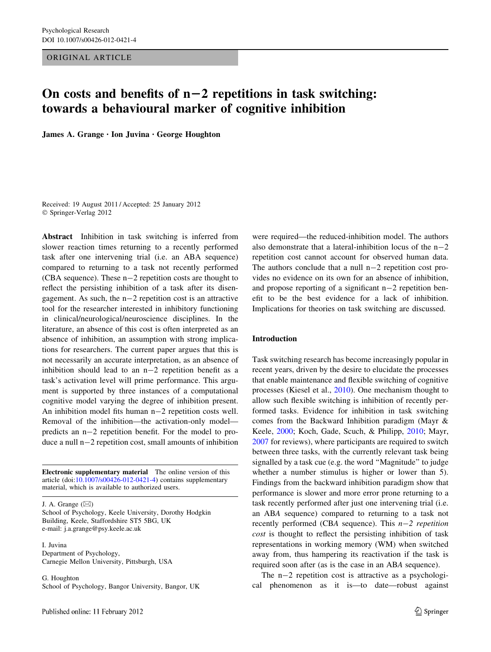ORIGINAL ARTICLE

# On costs and benefits of  $n-2$  repetitions in task switching: towards a behavioural marker of cognitive inhibition

James A. Grange • Ion Juvina • George Houghton

Received: 19 August 2011 / Accepted: 25 January 2012 © Springer-Verlag 2012

Abstract Inhibition in task switching is inferred from slower reaction times returning to a recently performed task after one intervening trial (i.e. an ABA sequence) compared to returning to a task not recently performed (CBA sequence). These n-2 repetition costs are thought to reflect the persisting inhibition of a task after its disengagement. As such, the  $n-2$  repetition cost is an attractive tool for the researcher interested in inhibitory functioning in clinical/neurological/neuroscience disciplines. In the literature, an absence of this cost is often interpreted as an absence of inhibition, an assumption with strong implications for researchers. The current paper argues that this is not necessarily an accurate interpretation, as an absence of inhibition should lead to an  $n-2$  repetition benefit as a task's activation level will prime performance. This argument is supported by three instances of a computational cognitive model varying the degree of inhibition present. An inhibition model fits human  $n-2$  repetition costs well. Removal of the inhibition—the activation-only model predicts an n-2 repetition benefit. For the model to produce a null n-2 repetition cost, small amounts of inhibition

Electronic supplementary material The online version of this article (doi:[10.1007/s00426-012-0421-4\)](http://dx.doi.org/10.1007/s00426-012-0421-4) contains supplementary material, which is available to authorized users.

J. A. Grange  $(\boxtimes)$ 

School of Psychology, Keele University, Dorothy Hodgkin Building, Keele, Staffordshire ST5 5BG, UK e-mail: j.a.grange@psy.keele.ac.uk

I. Juvina Department of Psychology, Carnegie Mellon University, Pittsburgh, USA

G. Houghton School of Psychology, Bangor University, Bangor, UK

were required—the reduced-inhibition model. The authors also demonstrate that a lateral-inhibition locus of the  $n-2$ repetition cost cannot account for observed human data. The authors conclude that a null  $n-2$  repetition cost provides no evidence on its own for an absence of inhibition, and propose reporting of a significant  $n-2$  repetition benefit to be the best evidence for a lack of inhibition. Implications for theories on task switching are discussed.

## Introduction

Task switching research has become increasingly popular in recent years, driven by the desire to elucidate the processes that enable maintenance and flexible switching of cognitive processes (Kiesel et al., [2010](#page-11-0)). One mechanism thought to allow such flexible switching is inhibition of recently performed tasks. Evidence for inhibition in task switching comes from the Backward Inhibition paradigm (Mayr & Keele, [2000;](#page-11-0) Koch, Gade, Scuch, & Philipp, [2010;](#page-11-0) Mayr, [2007](#page-11-0) for reviews), where participants are required to switch between three tasks, with the currently relevant task being signalled by a task cue (e.g. the word ''Magnitude'' to judge whether a number stimulus is higher or lower than 5). Findings from the backward inhibition paradigm show that performance is slower and more error prone returning to a task recently performed after just one intervening trial (i.e. an ABA sequence) compared to returning to a task not recently performed (CBA sequence). This  $n-2$  repetition cost is thought to reflect the persisting inhibition of task representations in working memory (WM) when switched away from, thus hampering its reactivation if the task is required soon after (as is the case in an ABA sequence).

The n-2 repetition cost is attractive as a psychological phenomenon as it is—to date—robust against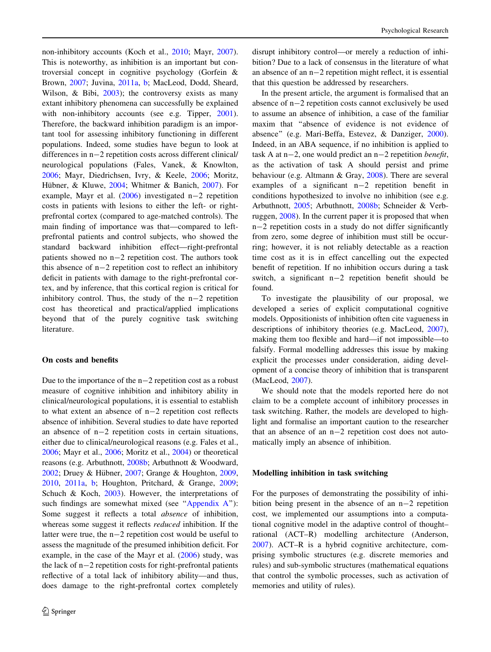non-inhibitory accounts (Koch et al., [2010](#page-11-0); Mayr, [2007](#page-11-0)). This is noteworthy, as inhibition is an important but controversial concept in cognitive psychology (Gorfein & Brown, [2007](#page-11-0); Juvina, [2011a,](#page-11-0) [b](#page-11-0); MacLeod, Dodd, Sheard, Wilson, & Bibi, [2003](#page-11-0)); the controversy exists as many extant inhibitory phenomena can successfully be explained with non-inhibitory accounts (see e.g. Tipper, [2001](#page-11-0)). Therefore, the backward inhibition paradigm is an important tool for assessing inhibitory functioning in different populations. Indeed, some studies have begun to look at differences in n-2 repetition costs across different clinical/ neurological populations (Fales, Vanek, & Knowlton, [2006;](#page-11-0) Mayr, Diedrichsen, Ivry, & Keele, [2006;](#page-11-0) Moritz, Hübner, & Kluwe, [2004](#page-11-0); Whitmer & Banich, [2007](#page-11-0)). For example, Mayr et al.  $(2006)$  $(2006)$  investigated n-2 repetition costs in patients with lesions to either the left- or rightprefrontal cortex (compared to age-matched controls). The main finding of importance was that—compared to leftprefrontal patients and control subjects, who showed the standard backward inhibition effect—right-prefrontal patients showed no  $n-2$  repetition cost. The authors took this absence of  $n-2$  repetition cost to reflect an inhibitory deficit in patients with damage to the right-prefrontal cortex, and by inference, that this cortical region is critical for inhibitory control. Thus, the study of the  $n-2$  repetition cost has theoretical and practical/applied implications beyond that of the purely cognitive task switching literature.

## On costs and benefits

Due to the importance of the  $n-2$  repetition cost as a robust measure of cognitive inhibition and inhibitory ability in clinical/neurological populations, it is essential to establish to what extent an absence of n-2 repetition cost reflects absence of inhibition. Several studies to date have reported an absence of  $n-2$  repetition costs in certain situations, either due to clinical/neurological reasons (e.g. Fales et al., [2006;](#page-11-0) Mayr et al., [2006](#page-11-0); Moritz et al., [2004\)](#page-11-0) or theoretical reasons (e.g. Arbuthnott, [2008b;](#page-10-0) Arbuthnott & Woodward, [2002;](#page-11-0) Druey & Hübner, [2007;](#page-11-0) Grange & Houghton,  $2009$ , [2010,](#page-11-0) [2011a](#page-11-0), [b;](#page-11-0) Houghton, Pritchard, & Grange, [2009](#page-11-0); Schuch & Koch, [2003\)](#page-11-0). However, the interpretations of such findings are somewhat mixed (see "Appendix A"): Some suggest it reflects a total absence of inhibition, whereas some suggest it reflects *reduced* inhibition. If the latter were true, the  $n-2$  repetition cost would be useful to assess the magnitude of the presumed inhibition deficit. For example, in the case of the Mayr et al. [\(2006](#page-11-0)) study, was the lack of  $n-2$  repetition costs for right-prefrontal patients reflective of a total lack of inhibitory ability—and thus, does damage to the right-prefrontal cortex completely disrupt inhibitory control—or merely a reduction of inhibition? Due to a lack of consensus in the literature of what an absence of an  $n-2$  repetition might reflect, it is essential that this question be addressed by researchers.

In the present article, the argument is formalised that an absence of n-2 repetition costs cannot exclusively be used to assume an absence of inhibition, a case of the familiar maxim that ''absence of evidence is not evidence of absence'' (e.g. Mari-Beffa, Estevez, & Danziger, [2000](#page-11-0)). Indeed, in an ABA sequence, if no inhibition is applied to task A at  $n-2$ , one would predict an  $n-2$  repetition *benefit*, as the activation of task A should persist and prime behaviour (e.g. Altmann & Gray, [2008\)](#page-10-0). There are several examples of a significant  $n-2$  repetition benefit in conditions hypothesized to involve no inhibition (see e.g. Arbuthnott, [2005](#page-10-0); Arbuthnott, [2008b](#page-10-0); Schneider & Verbruggen, [2008\)](#page-11-0). In the current paper it is proposed that when  $n-2$  repetition costs in a study do not differ significantly from zero, some degree of inhibition must still be occurring; however, it is not reliably detectable as a reaction time cost as it is in effect cancelling out the expected benefit of repetition. If no inhibition occurs during a task switch, a significant  $n-2$  repetition benefit should be found.

To investigate the plausibility of our proposal, we developed a series of explicit computational cognitive models. Oppositionists of inhibition often cite vagueness in descriptions of inhibitory theories (e.g. MacLeod, [2007](#page-11-0)), making them too flexible and hard—if not impossible—to falsify. Formal modelling addresses this issue by making explicit the processes under consideration, aiding development of a concise theory of inhibition that is transparent (MacLeod, [2007\)](#page-11-0).

We should note that the models reported here do not claim to be a complete account of inhibitory processes in task switching. Rather, the models are developed to highlight and formalise an important caution to the researcher that an absence of an  $n-2$  repetition cost does not automatically imply an absence of inhibition.

#### Modelling inhibition in task switching

For the purposes of demonstrating the possibility of inhibition being present in the absence of an  $n-2$  repetition cost, we implemented our assumptions into a computational cognitive model in the adaptive control of thought– rational (ACT–R) modelling architecture (Anderson, [2007](#page-10-0)). ACT–R is a hybrid cognitive architecture, comprising symbolic structures (e.g. discrete memories and rules) and sub-symbolic structures (mathematical equations that control the symbolic processes, such as activation of memories and utility of rules).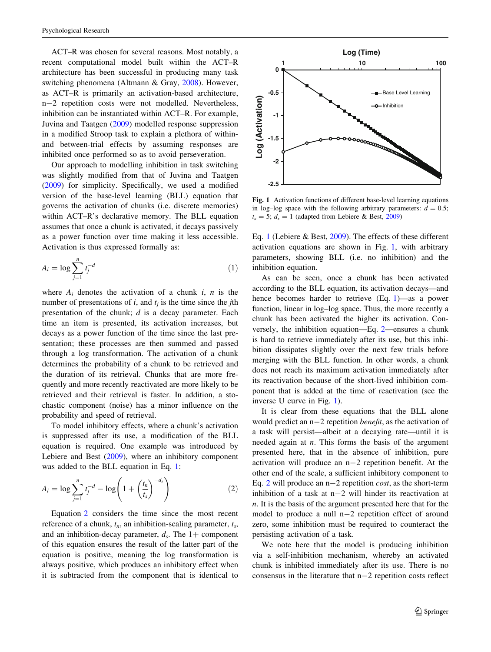<span id="page-2-0"></span>ACT–R was chosen for several reasons. Most notably, a recent computational model built within the ACT–R architecture has been successful in producing many task switching phenomena (Altmann & Gray, [2008\)](#page-10-0). However, as ACT–R is primarily an activation-based architecture, n-2 repetition costs were not modelled. Nevertheless, inhibition can be instantiated within ACT–R. For example, Juvina and Taatgen ([2009\)](#page-11-0) modelled response suppression in a modified Stroop task to explain a plethora of withinand between-trial effects by assuming responses are inhibited once performed so as to avoid perseveration.

Our approach to modelling inhibition in task switching was slightly modified from that of Juvina and Taatgen [\(2009](#page-11-0)) for simplicity. Specifically, we used a modified version of the base-level learning (BLL) equation that governs the activation of chunks (i.e. discrete memories) within ACT–R's declarative memory. The BLL equation assumes that once a chunk is activated, it decays passively as a power function over time making it less accessible. Activation is thus expressed formally as:

$$
A_i = \log \sum_{j=1}^n t_j^{-d} \tag{1}
$$

where  $A_i$  denotes the activation of a chunk i, n is the number of presentations of  $i$ , and  $t_i$  is the time since the jth presentation of the chunk; d is a decay parameter. Each time an item is presented, its activation increases, but decays as a power function of the time since the last presentation; these processes are then summed and passed through a log transformation. The activation of a chunk determines the probability of a chunk to be retrieved and the duration of its retrieval. Chunks that are more frequently and more recently reactivated are more likely to be retrieved and their retrieval is faster. In addition, a stochastic component (noise) has a minor influence on the probability and speed of retrieval.

To model inhibitory effects, where a chunk's activation is suppressed after its use, a modification of the BLL equation is required. One example was introduced by Lebiere and Best [\(2009](#page-11-0)), where an inhibitory component was added to the BLL equation in Eq. 1:

$$
A_i = \log \sum_{j=1}^n t_j^{-d} - \log \left( 1 + \left( \frac{t_n}{t_s} \right)^{-d_s} \right) \tag{2}
$$

Equation 2 considers the time since the most recent reference of a chunk,  $t_n$ , an inhibition-scaling parameter,  $t_s$ , and an inhibition-decay parameter,  $d_s$ . The 1+ component of this equation ensures the result of the latter part of the equation is positive, meaning the log transformation is always positive, which produces an inhibitory effect when it is subtracted from the component that is identical to



Fig. 1 Activation functions of different base-level learning equations in log–log space with the following arbitrary parameters:  $d = 0.5$ ;  $t_s = 5$ ;  $d_s = 1$  (adapted from Lebiere & Best, [2009](#page-11-0))

Eq. 1 (Lebiere & Best, [2009](#page-11-0)). The effects of these different activation equations are shown in Fig. 1, with arbitrary parameters, showing BLL (i.e. no inhibition) and the inhibition equation.

As can be seen, once a chunk has been activated according to the BLL equation, its activation decays—and hence becomes harder to retrieve (Eq. 1)—as a power function, linear in log–log space. Thus, the more recently a chunk has been activated the higher its activation. Conversely, the inhibition equation—Eq. 2—ensures a chunk is hard to retrieve immediately after its use, but this inhibition dissipates slightly over the next few trials before merging with the BLL function. In other words, a chunk does not reach its maximum activation immediately after its reactivation because of the short-lived inhibition component that is added at the time of reactivation (see the inverse U curve in Fig. 1).

It is clear from these equations that the BLL alone would predict an n-2 repetition benefit, as the activation of a task will persist—albeit at a decaying rate—until it is needed again at  $n$ . This forms the basis of the argument presented here, that in the absence of inhibition, pure activation will produce an n-2 repetition benefit. At the other end of the scale, a sufficient inhibitory component to Eq. 2 will produce an  $n-2$  repetition *cost*, as the short-term inhibition of a task at  $n-2$  will hinder its reactivation at n. It is the basis of the argument presented here that for the model to produce a null  $n-2$  repetition effect of around zero, some inhibition must be required to counteract the persisting activation of a task.

We note here that the model is producing inhibition via a self-inhibition mechanism, whereby an activated chunk is inhibited immediately after its use. There is no consensus in the literature that  $n-2$  repetition costs reflect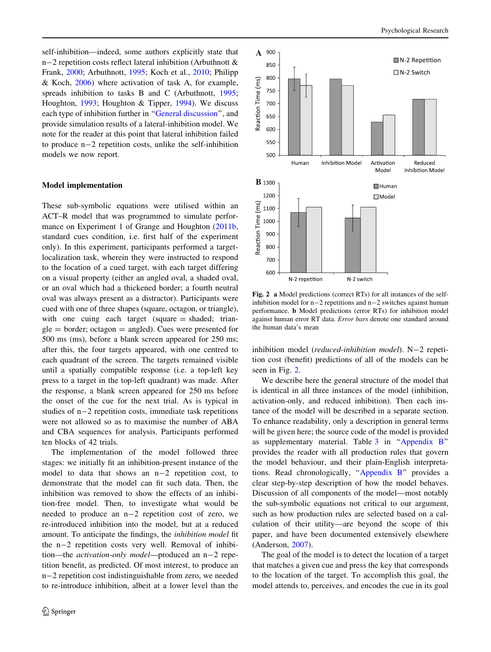<span id="page-3-0"></span>self-inhibition—indeed, some authors explicitly state that n-2 repetition costs reflect lateral inhibition (Arbuthnott  $\&$ Frank, [2000](#page-11-0); Arbuthnott, [1995](#page-10-0); Koch et al., [2010;](#page-11-0) Philipp & Koch, [2006](#page-11-0)) where activation of task A, for example, spreads inhibition to tasks B and C (Arbuthnott, [1995](#page-10-0); Houghton, [1993](#page-11-0); Houghton & Tipper, [1994\)](#page-11-0). We discuss each type of inhibition further in ''[General discussion](#page-5-0)'', and provide simulation results of a lateral-inhibition model. We note for the reader at this point that lateral inhibition failed to produce  $n-2$  repetition costs, unlike the self-inhibition models we now report.

## Model implementation

These sub-symbolic equations were utilised within an ACT–R model that was programmed to simulate performance on Experiment 1 of Grange and Houghton ([2011b,](#page-11-0) standard cues condition, i.e. first half of the experiment only). In this experiment, participants performed a targetlocalization task, wherein they were instructed to respond to the location of a cued target, with each target differing on a visual property (either an angled oval, a shaded oval, or an oval which had a thickened border; a fourth neutral oval was always present as a distractor). Participants were cued with one of three shapes (square, octagon, or triangle), with one cuing each target (square = shaded; trian $gle = border$ ; octagon  $= angled$ ). Cues were presented for 500 ms (ms), before a blank screen appeared for 250 ms; after this, the four targets appeared, with one centred to each quadrant of the screen. The targets remained visible until a spatially compatible response (i.e. a top-left key press to a target in the top-left quadrant) was made. After the response, a blank screen appeared for 250 ms before the onset of the cue for the next trial. As is typical in studies of n-2 repetition costs, immediate task repetitions were not allowed so as to maximise the number of ABA and CBA sequences for analysis. Participants performed ten blocks of 42 trials.

The implementation of the model followed three stages: we initially fit an inhibition-present instance of the model to data that shows an  $n-2$  repetition cost, to demonstrate that the model can fit such data. Then, the inhibition was removed to show the effects of an inhibition-free model. Then, to investigate what would be needed to produce an  $n-2$  repetition cost of zero, we re-introduced inhibition into the model, but at a reduced amount. To anticipate the findings, the inhibition model fit the n-2 repetition costs very well. Removal of inhibition—the *activation-only model*—produced an n-2 repetition benefit, as predicted. Of most interest, to produce an n-2 repetition cost indistinguishable from zero, we needed to re-introduce inhibition, albeit at a lower level than the



Fig. 2 a Model predictions (correct RTs) for all instances of the selfinhibition model for  $n-2$  repetitions and  $n-2$  switches against human performance. b Model predictions (error RTs) for inhibition model against human error RT data. Error bars denote one standard around the human data's mean

inhibition model (reduced-inhibition model). N-2 repetition cost (benefit) predictions of all of the models can be seen in Fig. 2.

We describe here the general structure of the model that is identical in all three instances of the model (inhibition, activation-only, and reduced inhibition). Then each instance of the model will be described in a separate section. To enhance readability, only a description in general terms will be given here; the source code of the model is provided as supplementary material. Table [3](#page-10-0) in '['Appendix B'](#page-8-0)' provides the reader with all production rules that govern the model behaviour, and their plain-English interpretations. Read chronologically, ''[Appendix B](#page-8-0)'' provides a clear step-by-step description of how the model behaves. Discussion of all components of the model—most notably the sub-symbolic equations not critical to our argument, such as how production rules are selected based on a calculation of their utility—are beyond the scope of this paper, and have been documented extensively elsewhere (Anderson, [2007](#page-10-0)).

The goal of the model is to detect the location of a target that matches a given cue and press the key that corresponds to the location of the target. To accomplish this goal, the model attends to, perceives, and encodes the cue in its goal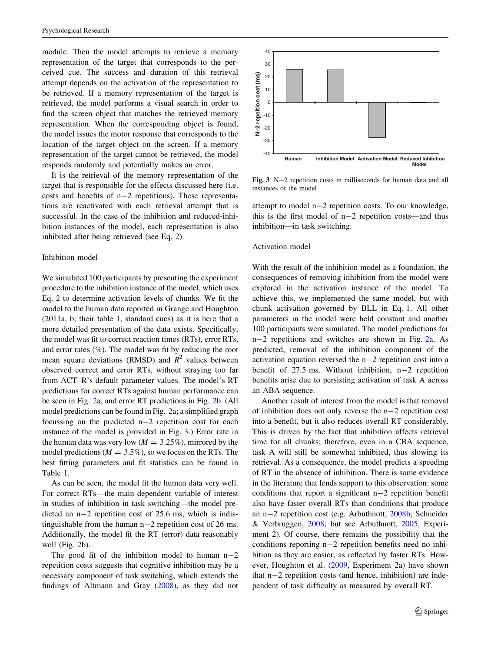module. Then the model attempts to retrieve a memory representation of the target that corresponds to the perceived cue. The success and duration of this retrieval attempt depends on the activation of the representation to be retrieved. If a memory representation of the target is retrieved, the model performs a visual search in order to find the screen object that matches the retrieved memory representation. When the corresponding object is found, the model issues the motor response that corresponds to the location of the target object on the screen. If a memory representation of the target cannot be retrieved, the model responds randomly and potentially makes an error.

It is the retrieval of the memory representation of the target that is responsible for the effects discussed here (i.e. costs and benefits of  $n-2$  repetitions). These representations are reactivated with each retrieval attempt that is successful. In the case of the inhibition and reduced-inhibition instances of the model, each representation is also inhibited after being retrieved (see Eq. [2\)](#page-2-0).

## Inhibition model

We simulated 100 participants by presenting the experiment procedure to the inhibition instance of the model, which uses Eq. [2](#page-2-0) to determine activation levels of chunks. We fit the model to the human data reported in Grange and Houghton (2011a, b; their table 1, standard cues) as it is here that a more detailed presentation of the data exists. Specifically, the model was fit to correct reaction times (RTs), error RTs, and error rates  $(\%)$ . The model was fit by reducing the root mean square deviations (RMSD) and  $R^2$  values between observed correct and error RTs, without straying too far from ACT–R's default parameter values. The model's RT predictions for correct RTs against human performance can be seen in Fig. [2a](#page-3-0), and error RT predictions in Fig. [2b](#page-3-0). (All model predictions can be found in Fig. [2](#page-3-0)a; a simplified graph focussing on the predicted  $n-2$  repetition cost for each instance of the model is provided in Fig. 3.) Error rate in the human data was very low ( $M = 3.25\%$ ), mirrored by the model predictions ( $M = 3.5\%$ ), so we focus on the RTs. The best fitting parameters and fit statistics can be found in Table [1](#page-5-0).

As can be seen, the model fit the human data very well. For correct RTs—the main dependent variable of interest in studies of inhibition in task switching—the model predicted an n-2 repetition cost of 25.6 ms, which is indistinguishable from the human  $n-2$  repetition cost of 26 ms. Additionally, the model fit the RT (error) data reasonably well (Fig. [2](#page-3-0)b).

The good fit of the inhibition model to human  $n-2$ repetition costs suggests that cognitive inhibition may be a necessary component of task switching, which extends the findings of Altmann and Gray ([2008\)](#page-10-0), as they did not



Fig. 3 N-2 repetition costs in milliseconds for human data and all instances of the model

attempt to model n-2 repetition costs. To our knowledge, this is the first model of  $n-2$  repetition costs—and thus inhibition—in task switching.

## Activation model

With the result of the inhibition model as a foundation, the consequences of removing inhibition from the model were explored in the activation instance of the model. To achieve this, we implemented the same model, but with chunk activation governed by BLL in Eq. [1.](#page-2-0) All other parameters in the model were held constant and another 100 participants were simulated. The model predictions for n-2 repetitions and switches are shown in Fig. [2](#page-3-0)a. As predicted, removal of the inhibition component of the activation equation reversed the  $n-2$  repetition cost into a benefit of 27.5 ms. Without inhibition,  $n-2$  repetition benefits arise due to persisting activation of task A across an ABA sequence.

Another result of interest from the model is that removal of inhibition does not only reverse the  $n-2$  repetition cost into a benefit, but it also reduces overall RT considerably. This is driven by the fact that inhibition affects retrieval time for all chunks; therefore, even in a CBA sequence, task A will still be somewhat inhibited, thus slowing its retrieval. As a consequence, the model predicts a speeding of RT in the absence of inhibition. There is some evidence in the literature that lends support to this observation: some conditions that report a significant  $n-2$  repetition benefit also have faster overall RTs than conditions that produce an n-2 repetition cost (e.g. Arbuthnott, [2008b;](#page-10-0) Schneider & Verbruggen, [2008;](#page-11-0) but see Arbuthnott, [2005](#page-10-0), Experiment 2). Of course, there remains the possibility that the conditions reporting  $n-2$  repetition benefits need no inhibition as they are easier, as reflected by faster RTs. However, Houghton et al. ([2009,](#page-11-0) Experiment 2a) have shown that  $n-2$  repetition costs (and hence, inhibition) are independent of task difficulty as measured by overall RT.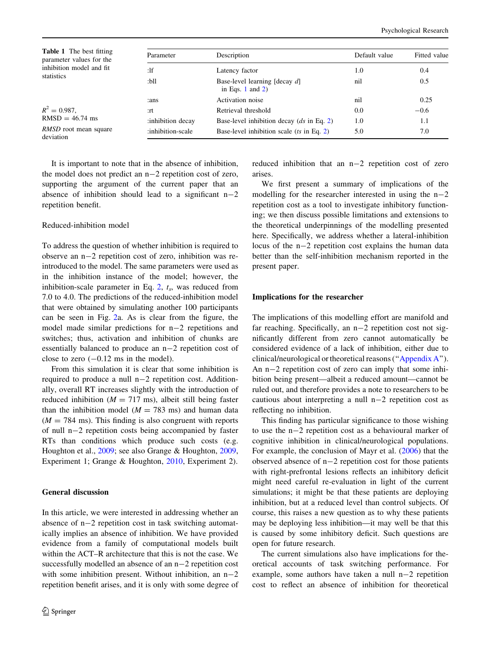<span id="page-5-0"></span>

| <b>Table 1</b> The best fitting<br>parameter values for the<br>inhibition model and fit<br>statistics | Parameter         | Description                                             | Default value | Fitted value |
|-------------------------------------------------------------------------------------------------------|-------------------|---------------------------------------------------------|---------------|--------------|
|                                                                                                       | :1 $f$            | Latency factor                                          | 1.0           | 0.4          |
|                                                                                                       | :bll              | Base-level learning [decay $d$ ]<br>in Eqs. 1 and $2$ ) | nil           | 0.5          |
|                                                                                                       | :ans              | Activation noise                                        | nil           | 0.25         |
| $R^2 = 0.987$ ,<br>$RMSD = 46.74$ ms                                                                  | :rt               | Retrieval threshold                                     | 0.0           | $-0.6$       |
|                                                                                                       | :inhibition decay | Base-level inhibition decay $(ds$ in Eq. 2)             | 1.0           | 1.1          |
| <i>RMSD</i> root mean square<br>deviation                                                             | :inhibition-scale | Base-level inhibition scale $(ts \text{ in Eq. 2})$     | 5.0           | 7.0          |

It is important to note that in the absence of inhibition, the model does not predict an n-2 repetition cost of zero, supporting the argument of the current paper that an absence of inhibition should lead to a significant  $n-2$ repetition benefit.

## Reduced-inhibition model

To address the question of whether inhibition is required to observe an n-2 repetition cost of zero, inhibition was reintroduced to the model. The same parameters were used as in the inhibition instance of the model; however, the inhibition-scale parameter in Eq.  $2$ ,  $t_s$ , was reduced from 7.0 to 4.0. The predictions of the reduced-inhibition model that were obtained by simulating another 100 participants can be seen in Fig. [2a](#page-3-0). As is clear from the figure, the model made similar predictions for n-2 repetitions and switches; thus, activation and inhibition of chunks are essentially balanced to produce an n-2 repetition cost of close to zero  $(-0.12 \text{ ms in the model})$ .

From this simulation it is clear that some inhibition is required to produce a null  $n-2$  repetition cost. Additionally, overall RT increases slightly with the introduction of reduced inhibition ( $M = 717$  ms), albeit still being faster than the inhibition model ( $M = 783$  ms) and human data  $(M = 784 \text{ ms})$ . This finding is also congruent with reports of null n-2 repetition costs being accompanied by faster RTs than conditions which produce such costs (e.g. Houghton et al., [2009;](#page-11-0) see also Grange & Houghton, [2009,](#page-11-0) Experiment 1; Grange & Houghton, [2010,](#page-11-0) Experiment 2).

# General discussion

In this article, we were interested in addressing whether an absence of  $n-2$  repetition cost in task switching automatically implies an absence of inhibition. We have provided evidence from a family of computational models built within the ACT–R architecture that this is not the case. We successfully modelled an absence of an n-2 repetition cost with some inhibition present. Without inhibition, an  $n-2$ repetition benefit arises, and it is only with some degree of reduced inhibition that an n-2 repetition cost of zero arises.

We first present a summary of implications of the modelling for the researcher interested in using the  $n-2$ repetition cost as a tool to investigate inhibitory functioning; we then discuss possible limitations and extensions to the theoretical underpinnings of the modelling presented here. Specifically, we address whether a lateral-inhibition locus of the n-2 repetition cost explains the human data better than the self-inhibition mechanism reported in the present paper.

#### Implications for the researcher

The implications of this modelling effort are manifold and far reaching. Specifically, an  $n-2$  repetition cost not significantly different from zero cannot automatically be considered evidence of a lack of inhibition, either due to clinical/neurological or theoretical reasons (''[Appendix A'](#page-8-0)'). An n-2 repetition cost of zero can imply that some inhibition being present—albeit a reduced amount—cannot be ruled out, and therefore provides a note to researchers to be cautious about interpreting a null  $n-2$  repetition cost as reflecting no inhibition.

This finding has particular significance to those wishing to use the n-2 repetition cost as a behavioural marker of cognitive inhibition in clinical/neurological populations. For example, the conclusion of Mayr et al. [\(2006](#page-11-0)) that the observed absence of n-2 repetition cost for those patients with right-prefrontal lesions reflects an inhibitory deficit might need careful re-evaluation in light of the current simulations; it might be that these patients are deploying inhibition, but at a reduced level than control subjects. Of course, this raises a new question as to why these patients may be deploying less inhibition—it may well be that this is caused by some inhibitory deficit. Such questions are open for future research.

The current simulations also have implications for theoretical accounts of task switching performance. For example, some authors have taken a null  $n-2$  repetition cost to reflect an absence of inhibition for theoretical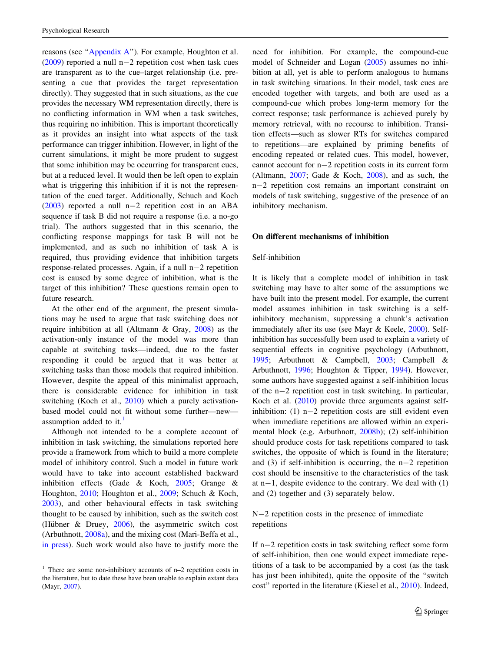reasons (see ''[Appendix A](#page-8-0)''). For example, Houghton et al. [\(2009](#page-11-0)) reported a null  $n-2$  repetition cost when task cues are transparent as to the cue–target relationship (i.e. presenting a cue that provides the target representation directly). They suggested that in such situations, as the cue provides the necessary WM representation directly, there is no conflicting information in WM when a task switches, thus requiring no inhibition. This is important theoretically as it provides an insight into what aspects of the task performance can trigger inhibition. However, in light of the current simulations, it might be more prudent to suggest that some inhibition may be occurring for transparent cues, but at a reduced level. It would then be left open to explain what is triggering this inhibition if it is not the representation of the cued target. Additionally, Schuch and Koch  $(2003)$  $(2003)$  reported a null n-2 repetition cost in an ABA sequence if task B did not require a response (i.e. a no-go trial). The authors suggested that in this scenario, the conflicting response mappings for task B will not be implemented, and as such no inhibition of task A is required, thus providing evidence that inhibition targets response-related processes. Again, if a null n-2 repetition cost is caused by some degree of inhibition, what is the target of this inhibition? These questions remain open to future research.

At the other end of the argument, the present simulations may be used to argue that task switching does not require inhibition at all (Altmann & Gray, [2008](#page-10-0)) as the activation-only instance of the model was more than capable at switching tasks—indeed, due to the faster responding it could be argued that it was better at switching tasks than those models that required inhibition. However, despite the appeal of this minimalist approach, there is considerable evidence for inhibition in task switching (Koch et al., [2010](#page-11-0)) which a purely activationbased model could not fit without some further—new assumption added to it.

Although not intended to be a complete account of inhibition in task switching, the simulations reported here provide a framework from which to build a more complete model of inhibitory control. Such a model in future work would have to take into account established backward inhibition effects (Gade & Koch, [2005](#page-11-0); Grange & Houghton, [2010](#page-11-0); Houghton et al., [2009;](#page-11-0) Schuch & Koch, [2003\)](#page-11-0), and other behavioural effects in task switching thought to be caused by inhibition, such as the switch cost (Hübner & Druey,  $2006$ ), the asymmetric switch cost (Arbuthnott, [2008a\)](#page-10-0), and the mixing cost (Mari-Beffa et al., [in press](#page-11-0)). Such work would also have to justify more the need for inhibition. For example, the compound-cue model of Schneider and Logan [\(2005](#page-11-0)) assumes no inhibition at all, yet is able to perform analogous to humans in task switching situations. In their model, task cues are encoded together with targets, and both are used as a compound-cue which probes long-term memory for the correct response; task performance is achieved purely by memory retrieval, with no recourse to inhibition. Transition effects—such as slower RTs for switches compared to repetitions—are explained by priming benefits of encoding repeated or related cues. This model, however, cannot account for n-2 repetition costs in its current form (Altmann,  $2007$ ; Gade & Koch,  $2008$ ), and as such, the n-2 repetition cost remains an important constraint on models of task switching, suggestive of the presence of an inhibitory mechanism.

#### On different mechanisms of inhibition

## Self-inhibition

It is likely that a complete model of inhibition in task switching may have to alter some of the assumptions we have built into the present model. For example, the current model assumes inhibition in task switching is a selfinhibitory mechanism, suppressing a chunk's activation immediately after its use (see Mayr & Keele, [2000\)](#page-11-0). Selfinhibition has successfully been used to explain a variety of sequential effects in cognitive psychology (Arbuthnott, [1995](#page-10-0); Arbuthnott & Campbell, [2003](#page-10-0); Campbell & Arbuthnott, [1996](#page-11-0); Houghton & Tipper, [1994\)](#page-11-0). However, some authors have suggested against a self-inhibition locus of the n-2 repetition cost in task switching. In particular, Koch et al. ([2010\)](#page-11-0) provide three arguments against selfinhibition:  $(1)$  n-2 repetition costs are still evident even when immediate repetitions are allowed within an experimental block (e.g. Arbuthnott, [2008b](#page-10-0)); (2) self-inhibition should produce costs for task repetitions compared to task switches, the opposite of which is found in the literature; and (3) if self-inhibition is occurring, the  $n-2$  repetition cost should be insensitive to the characteristics of the task at  $n-1$ , despite evidence to the contrary. We deal with  $(1)$ and (2) together and (3) separately below.

# N-2 repetition costs in the presence of immediate repetitions

If n-2 repetition costs in task switching reflect some form of self-inhibition, then one would expect immediate repetitions of a task to be accompanied by a cost (as the task has just been inhibited), quite the opposite of the ''switch cost'' reported in the literature (Kiesel et al., [2010](#page-11-0)). Indeed,

<sup>1</sup> There are some non-inhibitory accounts of n–2 repetition costs in the literature, but to date these have been unable to explain extant data (Mayr, [2007](#page-11-0)).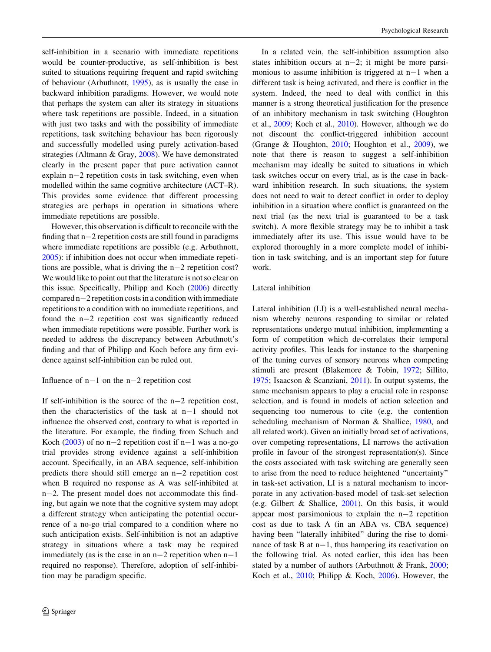self-inhibition in a scenario with immediate repetitions would be counter-productive, as self-inhibition is best suited to situations requiring frequent and rapid switching of behaviour (Arbuthnott, [1995](#page-10-0)), as is usually the case in backward inhibition paradigms. However, we would note that perhaps the system can alter its strategy in situations where task repetitions are possible. Indeed, in a situation with just two tasks and with the possibility of immediate repetitions, task switching behaviour has been rigorously and successfully modelled using purely activation-based strategies (Altmann & Gray, [2008](#page-10-0)). We have demonstrated clearly in the present paper that pure activation cannot explain n-2 repetition costs in task switching, even when modelled within the same cognitive architecture (ACT–R). This provides some evidence that different processing strategies are perhaps in operation in situations where immediate repetitions are possible.

However, this observation is difficult to reconcile with the finding that  $n-2$  repetition costs are still found in paradigms where immediate repetitions are possible (e.g. Arbuthnott, [2005\)](#page-10-0): if inhibition does not occur when immediate repetitions are possible, what is driving the  $n-2$  repetition cost? We would like to point out that the literature is not so clear on this issue. Specifically, Philipp and Koch ([2006\)](#page-11-0) directly compared n-2 repetition costs in a condition with immediate repetitions to a condition with no immediate repetitions, and found the  $n-2$  repetition cost was significantly reduced when immediate repetitions were possible. Further work is needed to address the discrepancy between Arbuthnott's finding and that of Philipp and Koch before any firm evidence against self-inhibition can be ruled out.

Influence of  $n-1$  on the  $n-2$  repetition cost

If self-inhibition is the source of the  $n-2$  repetition cost, then the characteristics of the task at  $n-1$  should not influence the observed cost, contrary to what is reported in the literature. For example, the finding from Schuch and Koch ([2003\)](#page-11-0) of no  $n-2$  repetition cost if  $n-1$  was a no-go trial provides strong evidence against a self-inhibition account. Specifically, in an ABA sequence, self-inhibition predicts there should still emerge an  $n-2$  repetition cost when B required no response as A was self-inhibited at n-2. The present model does not accommodate this finding, but again we note that the cognitive system may adopt a different strategy when anticipating the potential occurrence of a no-go trial compared to a condition where no such anticipation exists. Self-inhibition is not an adaptive strategy in situations where a task may be required immediately (as is the case in an  $n-2$  repetition when  $n-1$ required no response). Therefore, adoption of self-inhibition may be paradigm specific.

In a related vein, the self-inhibition assumption also states inhibition occurs at  $n-2$ ; it might be more parsimonious to assume inhibition is triggered at  $n-1$  when a different task is being activated, and there is conflict in the system. Indeed, the need to deal with conflict in this manner is a strong theoretical justification for the presence of an inhibitory mechanism in task switching (Houghton et al., [2009](#page-11-0); Koch et al., [2010](#page-11-0)). However, although we do not discount the conflict-triggered inhibition account (Grange & Houghton, [2010](#page-11-0); Houghton et al., [2009](#page-11-0)), we note that there is reason to suggest a self-inhibition mechanism may ideally be suited to situations in which task switches occur on every trial, as is the case in backward inhibition research. In such situations, the system does not need to wait to detect conflict in order to deploy inhibition in a situation where conflict is guaranteed on the next trial (as the next trial is guaranteed to be a task switch). A more flexible strategy may be to inhibit a task immediately after its use. This issue would have to be explored thoroughly in a more complete model of inhibition in task switching, and is an important step for future work.

# Lateral inhibition

Lateral inhibition (LI) is a well-established neural mechanism whereby neurons responding to similar or related representations undergo mutual inhibition, implementing a form of competition which de-correlates their temporal activity profiles. This leads for instance to the sharpening of the tuning curves of sensory neurons when competing stimuli are present (Blakemore & Tobin, [1972](#page-11-0); Sillito, [1975](#page-11-0); Isaacson & Scanziani, [2011](#page-11-0)). In output systems, the same mechanism appears to play a crucial role in response selection, and is found in models of action selection and sequencing too numerous to cite (e.g. the contention scheduling mechanism of Norman & Shallice, [1980](#page-11-0), and all related work). Given an initially broad set of activations, over competing representations, LI narrows the activation profile in favour of the strongest representation(s). Since the costs associated with task switching are generally seen to arise from the need to reduce heightened ''uncertainty'' in task-set activation, LI is a natural mechanism to incorporate in any activation-based model of task-set selection (e.g. Gilbert & Shallice, [2001](#page-11-0)). On this basis, it would appear most parsimonious to explain the  $n-2$  repetition cost as due to task A (in an ABA vs. CBA sequence) having been "laterally inhibited" during the rise to dominance of task B at  $n-1$ , thus hampering its reactivation on the following trial. As noted earlier, this idea has been stated by a number of authors (Arbuthnott & Frank, [2000](#page-11-0); Koch et al., [2010](#page-11-0); Philipp & Koch, [2006\)](#page-11-0). However, the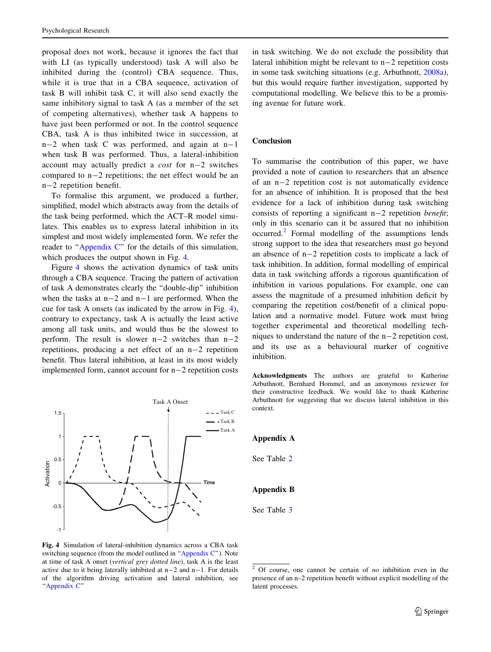<span id="page-8-0"></span>proposal does not work, because it ignores the fact that with LI (as typically understood) task A will also be inhibited during the (control) CBA sequence. Thus, while it is true that in a CBA sequence, activation of task B will inhibit task C, it will also send exactly the same inhibitory signal to task A (as a member of the set of competing alternatives), whether task A happens to have just been performed or not. In the control sequence CBA, task A is thus inhibited twice in succession, at  $n-2$  when task C was performed, and again at  $n-1$ when task B was performed. Thus, a lateral-inhibition account may actually predict a *cost* for  $n-2$  switches compared to  $n-2$  repetitions; the net effect would be an n-2 repetition benefit.

To formalise this argument, we produced a further, simplified, model which abstracts away from the details of the task being performed, which the ACT–R model simulates. This enables us to express lateral inhibition in its simplest and most widely implemented form. We refer the reader to "Appendix C" for the details of this simulation, which produces the output shown in Fig. 4.

Figure 4 shows the activation dynamics of task units through a CBA sequence. Tracing the pattern of activation of task A demonstrates clearly the ''double-dip'' inhibition when the tasks at  $n-2$  and  $n-1$  are performed. When the cue for task A onsets (as indicated by the arrow in Fig. 4), contrary to expectancy, task A is actually the least active among all task units, and would thus be the slowest to perform. The result is slower  $n-2$  switches than  $n-2$ repetitions, producing a net effect of an  $n-2$  repetition benefit. Thus lateral inhibition, at least in its most widely implemented form, cannot account for n-2 repetition costs



Fig. 4 Simulation of lateral-inhibition dynamics across a CBA task switching sequence (from the model outlined in "Appendix C"). Note at time of task A onset (vertical grey dotted line), task A is the least active due to it being laterally inhibited at  $n-2$  and  $n-1$ . For details of the algorithm driving activation and lateral inhibition, see ''[Appendix C'](#page-9-0)'

in task switching. We do not exclude the possibility that lateral inhibition might be relevant to  $n-2$  repetition costs in some task switching situations (e.g. Arbuthnott, [2008a](#page-10-0)), but this would require further investigation, supported by computational modelling. We believe this to be a promising avenue for future work.

# Conclusion

To summarise the contribution of this paper, we have provided a note of caution to researchers that an absence of an  $n-2$  repetition cost is not automatically evidence for an absence of inhibition. It is proposed that the best evidence for a lack of inhibition during task switching consists of reporting a significant  $n-2$  repetition *benefit*; only in this scenario can it be assured that no inhibition occurred.<sup>2</sup> Formal modelling of the assumptions lends strong support to the idea that researchers must go beyond an absence of n-2 repetition costs to implicate a lack of task inhibition. In addition, formal modelling of empirical data in task switching affords a rigorous quantification of inhibition in various populations. For example, one can assess the magnitude of a presumed inhibition deficit by comparing the repetition cost/benefit of a clinical population and a normative model. Future work must bring together experimental and theoretical modelling techniques to understand the nature of the  $n-2$  repetition cost, and its use as a behavioural marker of cognitive inhibition.

Acknowledgments The authors are grateful to Katherine Arbuthnott, Bernhard Hommel, and an anonymous reviewer for their constructive feedback. We would like to thank Katherine Arbuthnott for suggesting that we discuss lateral inhibition in this context.

#### Appendix A

See Table [2](#page-9-0)

## Appendix B

See Table [3](#page-10-0)

 $2$  Of course, one cannot be certain of no inhibition even in the presence of an n–2 repetition benefit without explicit modelling of the latent processes.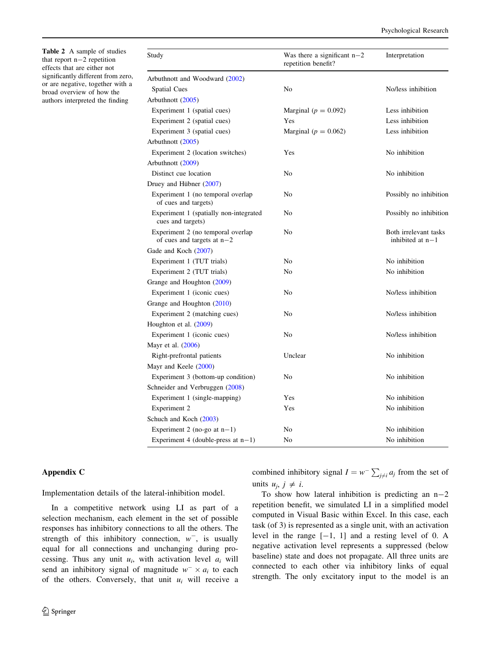<span id="page-9-0"></span>Table 2 A sample of studies that report  $n-2$  repetition effects that are either not significantly different from zero, or are negative, together with a broad overview of how the authors interpreted the finding

| Study                                                             | Was there a significant $n-2$<br>repetition benefit? | Interpretation                              |  |
|-------------------------------------------------------------------|------------------------------------------------------|---------------------------------------------|--|
| Arbuthnott and Woodward (2002)                                    |                                                      |                                             |  |
| Spatial Cues                                                      | No                                                   | No/less inhibition                          |  |
| Arbuthnott (2005)                                                 |                                                      |                                             |  |
| Experiment 1 (spatial cues)                                       | Marginal ( $p = 0.092$ )                             | Less inhibition                             |  |
| Experiment 2 (spatial cues)                                       | Yes                                                  | Less inhibition                             |  |
| Experiment 3 (spatial cues)                                       | Marginal ( $p = 0.062$ )                             | Less inhibition                             |  |
| Arbuthnott (2005)                                                 |                                                      |                                             |  |
| Experiment 2 (location switches)                                  | Yes                                                  | No inhibition                               |  |
| Arbuthnott (2009)                                                 |                                                      |                                             |  |
| Distinct cue location                                             | N <sub>0</sub>                                       | No inhibition                               |  |
| Druey and Hübner (2007)                                           |                                                      |                                             |  |
| Experiment 1 (no temporal overlap<br>of cues and targets)         | No                                                   | Possibly no inhibition                      |  |
| Experiment 1 (spatially non-integrated<br>cues and targets)       | No                                                   | Possibly no inhibition                      |  |
| Experiment 2 (no temporal overlap<br>of cues and targets at $n-2$ | No                                                   | Both irrelevant tasks<br>inhibited at $n-1$ |  |
| Gade and Koch (2007)                                              |                                                      |                                             |  |
| Experiment 1 (TUT trials)                                         | N <sub>0</sub>                                       | No inhibition                               |  |
| Experiment 2 (TUT trials)                                         | N <sub>0</sub>                                       | No inhibition                               |  |
| Grange and Houghton (2009)                                        |                                                      |                                             |  |
| Experiment 1 (iconic cues)                                        | N <sub>0</sub>                                       | No/less inhibition                          |  |
| Grange and Houghton (2010)                                        |                                                      |                                             |  |
| Experiment 2 (matching cues)                                      | N <sub>0</sub>                                       | No/less inhibition                          |  |
| Houghton et al. (2009)                                            |                                                      |                                             |  |
| Experiment 1 (iconic cues)                                        | N <sub>0</sub>                                       | No/less inhibition                          |  |
| Mayr et al. (2006)                                                |                                                      |                                             |  |
| Right-prefrontal patients                                         | Unclear                                              | No inhibition                               |  |
| Mayr and Keele (2000)                                             |                                                      |                                             |  |
| Experiment 3 (bottom-up condition)                                | N <sub>0</sub>                                       | No inhibition                               |  |
| Schneider and Verbruggen (2008)                                   |                                                      |                                             |  |
| Experiment 1 (single-mapping)                                     | Yes                                                  | No inhibition                               |  |
| Experiment 2                                                      | Yes                                                  | No inhibition                               |  |
| Schuch and Koch (2003)                                            |                                                      |                                             |  |
| Experiment 2 (no-go at $n-1$ )                                    | No                                                   | No inhibition                               |  |
| Experiment 4 (double-press at $n-1$ )                             | No                                                   | No inhibition                               |  |

## Appendix C

Implementation details of the lateral-inhibition model.

In a competitive network using LI as part of a selection mechanism, each element in the set of possible responses has inhibitory connections to all the others. The strength of this inhibitory connection,  $w^-$ , is usually equal for all connections and unchanging during processing. Thus any unit  $u_i$ , with activation level  $a_i$  will send an inhibitory signal of magnitude  $w^- \times a_i$  to each of the others. Conversely, that unit  $u_i$  will receive a

combined inhibitory signal  $I = w^- \sum_{j \neq i} a_j$  from the set of units  $u_j$ ,  $j \neq i$ .

To show how lateral inhibition is predicting an  $n-2$ repetition benefit, we simulated LI in a simplified model computed in Visual Basic within Excel. In this case, each task (of 3) is represented as a single unit, with an activation level in the range  $[-1, 1]$  and a resting level of 0. A negative activation level represents a suppressed (below baseline) state and does not propagate. All three units are connected to each other via inhibitory links of equal strength. The only excitatory input to the model is an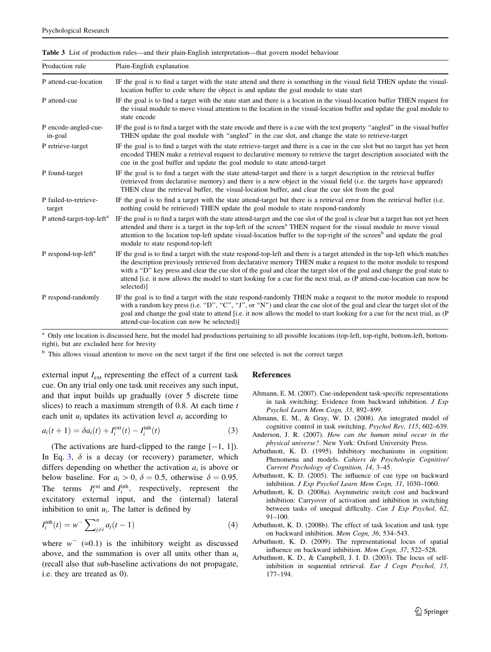| Production rule                       | Plain-English explanation                                                                                                                                                                                                                                                                                                                                                                                                                                                                                               |  |  |
|---------------------------------------|-------------------------------------------------------------------------------------------------------------------------------------------------------------------------------------------------------------------------------------------------------------------------------------------------------------------------------------------------------------------------------------------------------------------------------------------------------------------------------------------------------------------------|--|--|
| P attend-cue-location                 | IF the goal is to find a target with the state attend and there is something in the visual field THEN update the visual-<br>location buffer to code where the object is and update the goal module to state start                                                                                                                                                                                                                                                                                                       |  |  |
| P attend-cue                          | IF the goal is to find a target with the state start and there is a location in the visual-location buffer THEN request for<br>the visual module to move visual attention to the location in the visual-location buffer and update the goal module to<br>state encode                                                                                                                                                                                                                                                   |  |  |
| P encode-angled-cue-<br>in-goal       | IF the goal is to find a target with the state encode and there is a cue with the text property "angled" in the visual buffer<br>THEN update the goal module with "angled" in the cue slot, and change the state to retrieve-target                                                                                                                                                                                                                                                                                     |  |  |
| P retrieve-target                     | IF the goal is to find a target with the state retrieve-target and there is a cue in the cue slot but no target has yet been<br>encoded THEN make a retrieval request to declarative memory to retrieve the target description associated with the<br>cue in the goal buffer and update the goal module to state attend-target                                                                                                                                                                                          |  |  |
| P found-target                        | IF the goal is to find a target with the state attend-target and there is a target description in the retrieval buffer<br>(retrieved from declarative memory) and there is a new object in the visual field ( <i>i.e.</i> the targets have appeared)<br>THEN clear the retrieval buffer, the visual-location buffer, and clear the cue slot from the goal                                                                                                                                                               |  |  |
| P failed-to-retrieve-<br>target       | IF the goal is to find a target with the state attend-target but there is a retrieval error from the retrieval buffer (i.e.<br>nothing could be retrieved) THEN update the goal module to state respond-randomly                                                                                                                                                                                                                                                                                                        |  |  |
| P attend-target-top-left <sup>a</sup> | IF the goal is to find a target with the state attend-target and the cue slot of the goal is clear but a target has not yet been<br>attended and there is a target in the top-left of the screen <sup>a</sup> THEN request for the visual module to move visual<br>attention to the location top-left update visual-location buffer to the top-right of the screen <sup>b</sup> and update the goal<br>module to state respond-top-left                                                                                 |  |  |
| P respond-top-left <sup>a</sup>       | IF the goal is to find a target with the state respond-top-left and there is a target attended in the top-left which matches<br>the description previously retrieved from declarative memory THEN make a request to the motor module to respond<br>with a "D" key press and clear the cue slot of the goal and clear the target slot of the goal and change the goal state to<br>attend [i.e. it now allows the model to start looking for a cue for the next trial, as (P attend-cue-location can now be<br>selected)] |  |  |
| P respond-randomly                    | IF the goal is to find a target with the state respond-randomly THEN make a request to the motor module to respond<br>with a random key press (i.e. "D", "C", "J", or "N") and clear the cue slot of the goal and clear the target slot of the<br>goal and change the goal state to attend [i.e. it now allows the model to start looking for a cue for the next trial, as (P<br>attend-cue-location can now be selected)]                                                                                              |  |  |

<span id="page-10-0"></span>Table 3 List of production rules—and their plain-English interpretation—that govern model behaviour

<sup>a</sup> Only one location is discussed here, but the model had productions pertaining to all possible locations (top-left, top-right, bottom-left, bottomright), but are excluded here for brevity

<sup>b</sup> This allows visual attention to move on the next target if the first one selected is not the correct target

external input  $I_{ext}$  representing the effect of a current task cue. On any trial only one task unit receives any such input, and that input builds up gradually (over 5 discrete time slices) to reach a maximum strength of 0.8. At each time t each unit  $u_i$  updates its activation level  $a_i$  according to

$$
a_i(t+1) = \delta a_i(t) + I_i^{\text{ext}}(t) - I_i^{\text{inh}}(t)
$$
\n(3)

(The activations are hard-clipped to the range  $[-1, 1]$ ). In Eq. 3,  $\delta$  is a decay (or recovery) parameter, which differs depending on whether the activation  $a_i$  is above or below baseline. For  $a_i > 0$ ,  $\delta = 0.5$ , otherwise  $\delta = 0.95$ . The terms  $I_i^{\text{ext}}$  and  $I_i^{\text{inh}}$ , respectively, represent the excitatory external input, and the (internal) lateral inhibition to unit  $u_i$ . The latter is defined by

$$
I_i^{\text{inh}}(t) = w^- \sum_{j \neq i}^{n} a_j(t-1) \tag{4}
$$

where  $w^-$  (=0.1) is the inhibitory weight as discussed above, and the summation is over all units other than  $u_i$ (recall also that sub-baseline activations do not propagate, i.e. they are treated as 0).

#### References

- Altmann, E. M. (2007). Cue-independent task-specific representations in task switching: Evidence from backward inhibition. J Exp Psychol Learn Mem Cogn, 33, 892–899.
- Altmann, E. M., & Gray, W. D. (2008). An integrated model of cognitive control in task switching. Psychol Rev, 115, 602–639.
- Anderson, J. R. (2007). How can the human mind occur in the physical universe?. New York: Oxford University Press.
- Arbuthnott, K. D. (1995). Inhibitory mechanisms in cognition: Phenomena and models. Cahiers de Psychologie Cognitive/ Current Psychology of Cognition, 14, 3–45.
- Arbuthnott, K. D. (2005). The influence of cue type on backward inhibition. J Exp Psychol Learn Mem Cogn, 31, 1030–1060.
- Arbuthnott, K. D. (2008a). Asymmetric switch cost and backward inhibition: Carryover of activation and inhibition in switching between tasks of unequal difficulty. Can J Exp Psychol, 62, 91–100.
- Arbuthnott, K. D. (2008b). The effect of task location and task type on backward inhibition. Mem Cogn, 36, 534–543.
- Arbuthnott, K. D. (2009). The representational locus of spatial influence on backward inhibition. Mem Cogn, 37, 522–528.
- Arbuthnott, K. D., & Campbell, J. I. D. (2003). The locus of selfinhibition in sequential retrieval. Eur J Cogn Psychol, 15, 177–194.